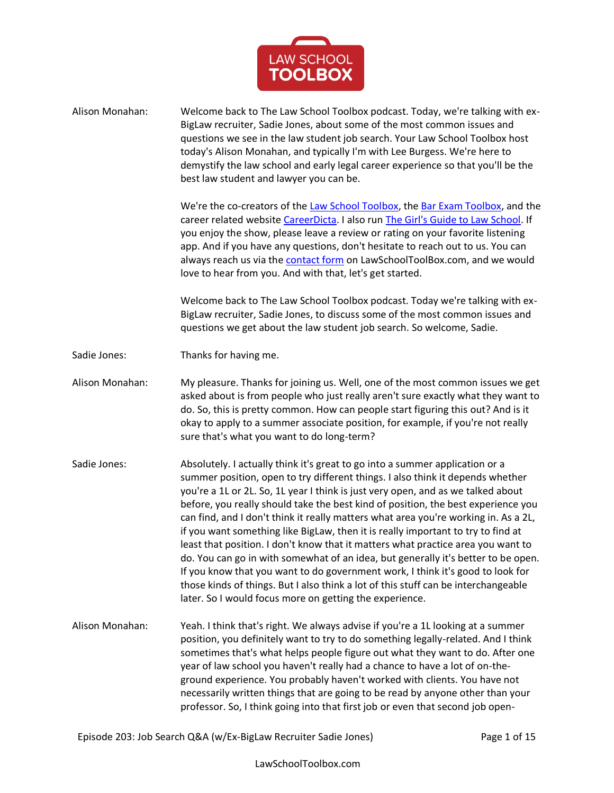

| Alison Monahan: | Welcome back to The Law School Toolbox podcast. Today, we're talking with ex-<br>BigLaw recruiter, Sadie Jones, about some of the most common issues and<br>questions we see in the law student job search. Your Law School Toolbox host<br>today's Alison Monahan, and typically I'm with Lee Burgess. We're here to<br>demystify the law school and early legal career experience so that you'll be the<br>best law student and lawyer you can be.                                                                                                                                                                                                                                                                                                                                                                                                                                                                           |
|-----------------|--------------------------------------------------------------------------------------------------------------------------------------------------------------------------------------------------------------------------------------------------------------------------------------------------------------------------------------------------------------------------------------------------------------------------------------------------------------------------------------------------------------------------------------------------------------------------------------------------------------------------------------------------------------------------------------------------------------------------------------------------------------------------------------------------------------------------------------------------------------------------------------------------------------------------------|
|                 | We're the co-creators of the Law School Toolbox, the Bar Exam Toolbox, and the<br>career related website CareerDicta. I also run The Girl's Guide to Law School. If<br>you enjoy the show, please leave a review or rating on your favorite listening<br>app. And if you have any questions, don't hesitate to reach out to us. You can<br>always reach us via the <b>contact form</b> on LawSchoolToolBox.com, and we would<br>love to hear from you. And with that, let's get started.                                                                                                                                                                                                                                                                                                                                                                                                                                       |
|                 | Welcome back to The Law School Toolbox podcast. Today we're talking with ex-<br>BigLaw recruiter, Sadie Jones, to discuss some of the most common issues and<br>questions we get about the law student job search. So welcome, Sadie.                                                                                                                                                                                                                                                                                                                                                                                                                                                                                                                                                                                                                                                                                          |
| Sadie Jones:    | Thanks for having me.                                                                                                                                                                                                                                                                                                                                                                                                                                                                                                                                                                                                                                                                                                                                                                                                                                                                                                          |
| Alison Monahan: | My pleasure. Thanks for joining us. Well, one of the most common issues we get<br>asked about is from people who just really aren't sure exactly what they want to<br>do. So, this is pretty common. How can people start figuring this out? And is it<br>okay to apply to a summer associate position, for example, if you're not really<br>sure that's what you want to do long-term?                                                                                                                                                                                                                                                                                                                                                                                                                                                                                                                                        |
| Sadie Jones:    | Absolutely. I actually think it's great to go into a summer application or a<br>summer position, open to try different things. I also think it depends whether<br>you're a 1L or 2L. So, 1L year I think is just very open, and as we talked about<br>before, you really should take the best kind of position, the best experience you<br>can find, and I don't think it really matters what area you're working in. As a 2L,<br>if you want something like BigLaw, then it is really important to try to find at<br>least that position. I don't know that it matters what practice area you want to<br>do. You can go in with somewhat of an idea, but generally it's better to be open.<br>If you know that you want to do government work, I think it's good to look for<br>those kinds of things. But I also think a lot of this stuff can be interchangeable<br>later. So I would focus more on getting the experience. |
| Alison Monahan: | Yeah. I think that's right. We always advise if you're a 1L looking at a summer<br>position, you definitely want to try to do something legally-related. And I think<br>sometimes that's what helps people figure out what they want to do. After one<br>year of law school you haven't really had a chance to have a lot of on-the-<br>ground experience. You probably haven't worked with clients. You have not<br>necessarily written things that are going to be read by anyone other than your<br>professor. So, I think going into that first job or even that second job open-                                                                                                                                                                                                                                                                                                                                          |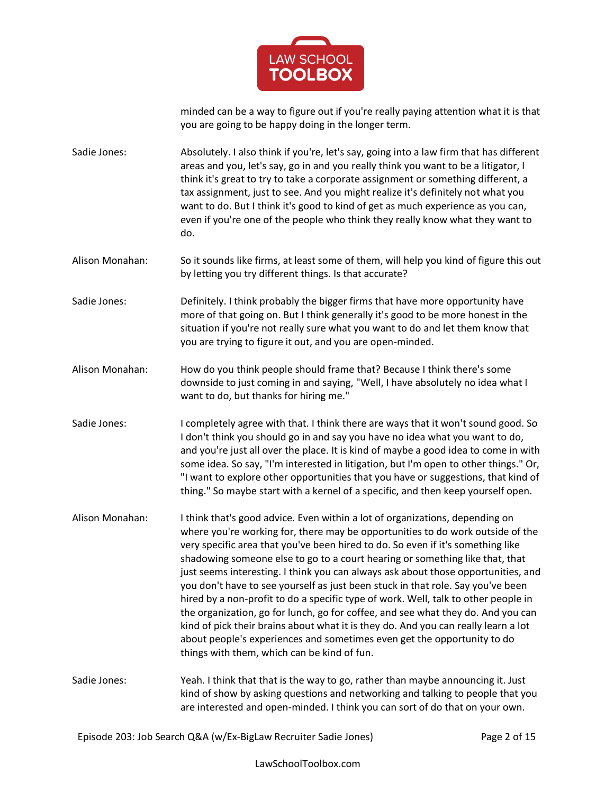

minded can be a way to figure out if you're really paying attention what it is that you are going to be happy doing in the longer term.

Sadie Jones: Absolutely. I also think if you're, let's say, going into a law firm that has different areas and you, let's say, go in and you really think you want to be a litigator, I think it's great to try to take a corporate assignment or something different, a tax assignment, just to see. And you might realize it's definitely not what you want to do. But I think it's good to kind of get as much experience as you can, even if you're one of the people who think they really know what they want to do.

Alison Monahan: So it sounds like firms, at least some of them, will help you kind of figure this out by letting you try different things. Is that accurate?

Sadie Jones: Definitely. I think probably the bigger firms that have more opportunity have more of that going on. But I think generally it's good to be more honest in the situation if you're not really sure what you want to do and let them know that you are trying to figure it out, and you are open-minded.

Alison Monahan: How do you think people should frame that? Because I think there's some downside to just coming in and saying, "Well, I have absolutely no idea what I want to do, but thanks for hiring me."

Sadie Jones: I completely agree with that. I think there are ways that it won't sound good. So I don't think you should go in and say you have no idea what you want to do, and you're just all over the place. It is kind of maybe a good idea to come in with some idea. So say, "I'm interested in litigation, but I'm open to other things." Or, "I want to explore other opportunities that you have or suggestions, that kind of thing." So maybe start with a kernel of a specific, and then keep yourself open.

Alison Monahan: I think that's good advice. Even within a lot of organizations, depending on where you're working for, there may be opportunities to do work outside of the very specific area that you've been hired to do. So even if it's something like shadowing someone else to go to a court hearing or something like that, that just seems interesting. I think you can always ask about those opportunities, and you don't have to see yourself as just been stuck in that role. Say you've been hired by a non-profit to do a specific type of work. Well, talk to other people in the organization, go for lunch, go for coffee, and see what they do. And you can kind of pick their brains about what it is they do. And you can really learn a lot about people's experiences and sometimes even get the opportunity to do things with them, which can be kind of fun.

Sadie Jones: Yeah. I think that that is the way to go, rather than maybe announcing it. Just kind of show by asking questions and networking and talking to people that you are interested and open-minded. I think you can sort of do that on your own.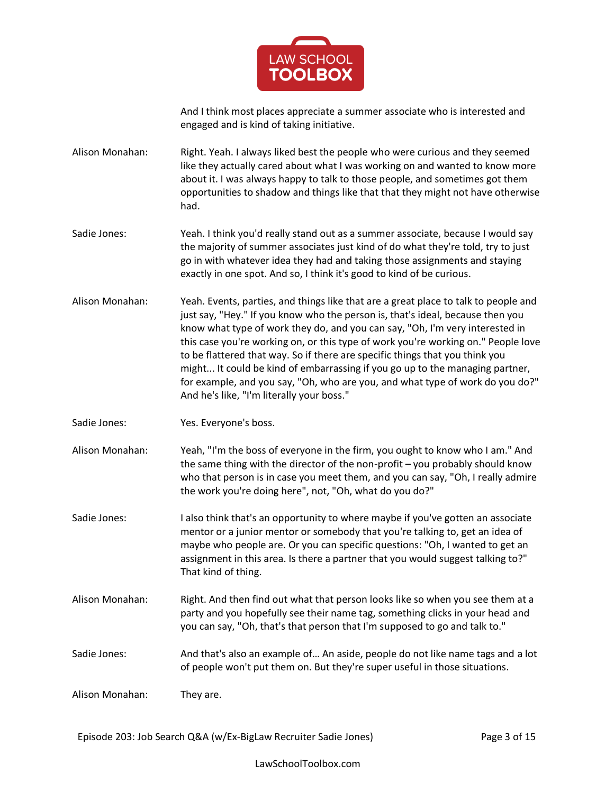

And I think most places appreciate a summer associate who is interested and engaged and is kind of taking initiative.

Alison Monahan: Right. Yeah. I always liked best the people who were curious and they seemed like they actually cared about what I was working on and wanted to know more about it. I was always happy to talk to those people, and sometimes got them opportunities to shadow and things like that that they might not have otherwise had.

Sadie Jones: Yeah. I think you'd really stand out as a summer associate, because I would say the majority of summer associates just kind of do what they're told, try to just go in with whatever idea they had and taking those assignments and staying exactly in one spot. And so, I think it's good to kind of be curious.

- Alison Monahan: Yeah. Events, parties, and things like that are a great place to talk to people and just say, "Hey." If you know who the person is, that's ideal, because then you know what type of work they do, and you can say, "Oh, I'm very interested in this case you're working on, or this type of work you're working on." People love to be flattered that way. So if there are specific things that you think you might... It could be kind of embarrassing if you go up to the managing partner, for example, and you say, "Oh, who are you, and what type of work do you do?" And he's like, "I'm literally your boss."
- Sadie Jones: Yes. Everyone's boss.
- Alison Monahan: Yeah, "I'm the boss of everyone in the firm, you ought to know who I am." And the same thing with the director of the non-profit – you probably should know who that person is in case you meet them, and you can say, "Oh, I really admire the work you're doing here", not, "Oh, what do you do?"
- Sadie Jones: I also think that's an opportunity to where maybe if you've gotten an associate mentor or a junior mentor or somebody that you're talking to, get an idea of maybe who people are. Or you can specific questions: "Oh, I wanted to get an assignment in this area. Is there a partner that you would suggest talking to?" That kind of thing.
- Alison Monahan: Right. And then find out what that person looks like so when you see them at a party and you hopefully see their name tag, something clicks in your head and you can say, "Oh, that's that person that I'm supposed to go and talk to."
- Sadie Jones: And that's also an example of… An aside, people do not like name tags and a lot of people won't put them on. But they're super useful in those situations.

Alison Monahan: They are.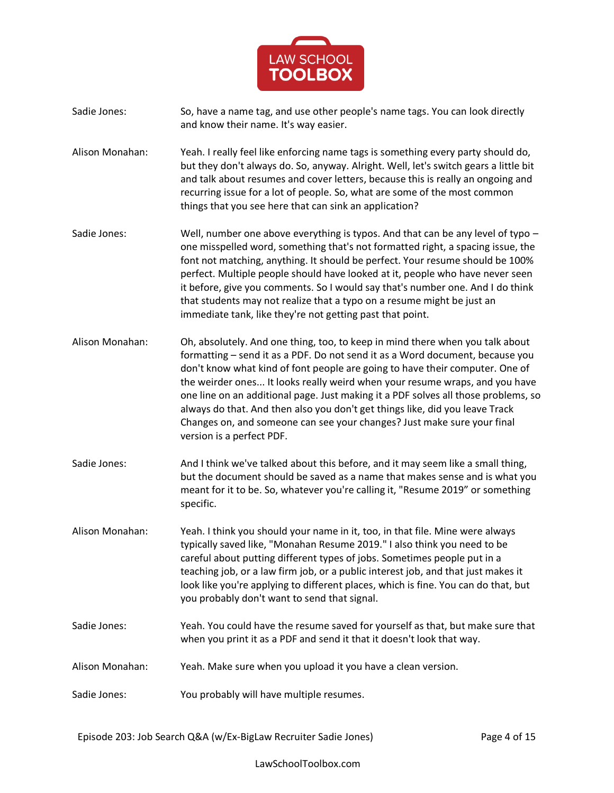

- Sadie Jones: So, have a name tag, and use other people's name tags. You can look directly and know their name. It's way easier.
- Alison Monahan: Yeah. I really feel like enforcing name tags is something every party should do, but they don't always do. So, anyway. Alright. Well, let's switch gears a little bit and talk about resumes and cover letters, because this is really an ongoing and recurring issue for a lot of people. So, what are some of the most common things that you see here that can sink an application?
- Sadie Jones: Well, number one above everything is typos. And that can be any level of typo one misspelled word, something that's not formatted right, a spacing issue, the font not matching, anything. It should be perfect. Your resume should be 100% perfect. Multiple people should have looked at it, people who have never seen it before, give you comments. So I would say that's number one. And I do think that students may not realize that a typo on a resume might be just an immediate tank, like they're not getting past that point.
- Alison Monahan: Oh, absolutely. And one thing, too, to keep in mind there when you talk about formatting – send it as a PDF. Do not send it as a Word document, because you don't know what kind of font people are going to have their computer. One of the weirder ones... It looks really weird when your resume wraps, and you have one line on an additional page. Just making it a PDF solves all those problems, so always do that. And then also you don't get things like, did you leave Track Changes on, and someone can see your changes? Just make sure your final version is a perfect PDF.
- Sadie Jones: And I think we've talked about this before, and it may seem like a small thing, but the document should be saved as a name that makes sense and is what you meant for it to be. So, whatever you're calling it, "Resume 2019" or something specific.
- Alison Monahan: Yeah. I think you should your name in it, too, in that file. Mine were always typically saved like, "Monahan Resume 2019." I also think you need to be careful about putting different types of jobs. Sometimes people put in a teaching job, or a law firm job, or a public interest job, and that just makes it look like you're applying to different places, which is fine. You can do that, but you probably don't want to send that signal.
- Sadie Jones: Yeah. You could have the resume saved for yourself as that, but make sure that when you print it as a PDF and send it that it doesn't look that way.
- Alison Monahan: Yeah. Make sure when you upload it you have a clean version.
- Sadie Jones: You probably will have multiple resumes.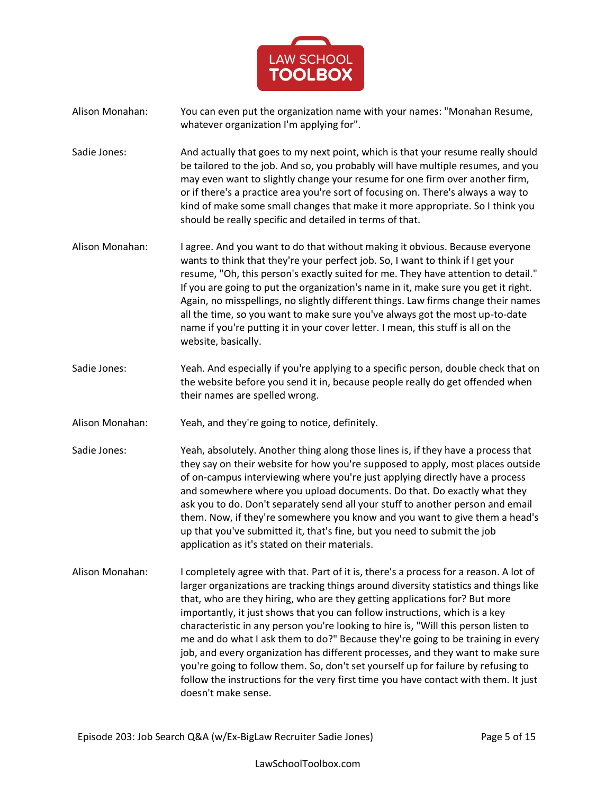

- Alison Monahan: You can even put the organization name with your names: "Monahan Resume, whatever organization I'm applying for".
- Sadie Jones: And actually that goes to my next point, which is that your resume really should be tailored to the job. And so, you probably will have multiple resumes, and you may even want to slightly change your resume for one firm over another firm, or if there's a practice area you're sort of focusing on. There's always a way to kind of make some small changes that make it more appropriate. So I think you should be really specific and detailed in terms of that.
- Alison Monahan: I agree. And you want to do that without making it obvious. Because everyone wants to think that they're your perfect job. So, I want to think if I get your resume, "Oh, this person's exactly suited for me. They have attention to detail." If you are going to put the organization's name in it, make sure you get it right. Again, no misspellings, no slightly different things. Law firms change their names all the time, so you want to make sure you've always got the most up-to-date name if you're putting it in your cover letter. I mean, this stuff is all on the website, basically.
- Sadie Jones: Yeah. And especially if you're applying to a specific person, double check that on the website before you send it in, because people really do get offended when their names are spelled wrong.
- Alison Monahan: Yeah, and they're going to notice, definitely.
- Sadie Jones: Yeah, absolutely. Another thing along those lines is, if they have a process that they say on their website for how you're supposed to apply, most places outside of on-campus interviewing where you're just applying directly have a process and somewhere where you upload documents. Do that. Do exactly what they ask you to do. Don't separately send all your stuff to another person and email them. Now, if they're somewhere you know and you want to give them a head's up that you've submitted it, that's fine, but you need to submit the job application as it's stated on their materials.
- Alison Monahan: I completely agree with that. Part of it is, there's a process for a reason. A lot of larger organizations are tracking things around diversity statistics and things like that, who are they hiring, who are they getting applications for? But more importantly, it just shows that you can follow instructions, which is a key characteristic in any person you're looking to hire is, "Will this person listen to me and do what I ask them to do?" Because they're going to be training in every job, and every organization has different processes, and they want to make sure you're going to follow them. So, don't set yourself up for failure by refusing to follow the instructions for the very first time you have contact with them. It just doesn't make sense.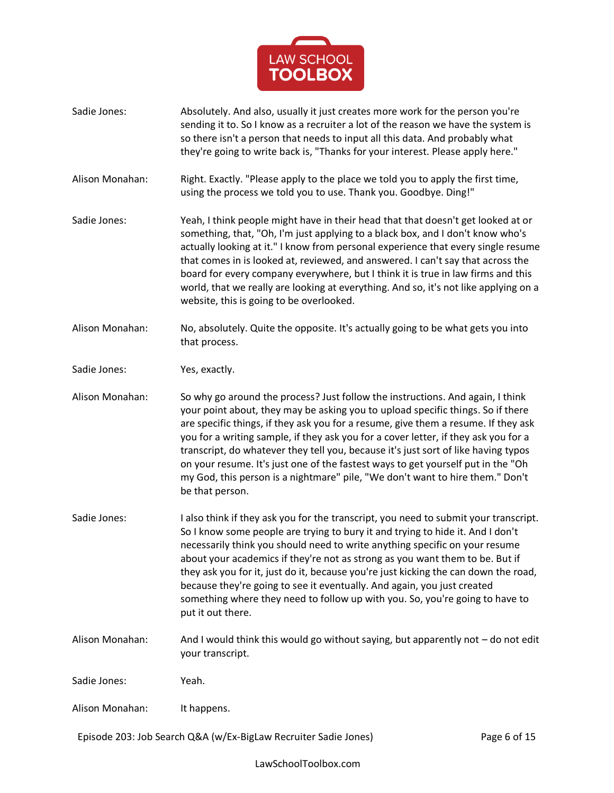

Sadie Jones: Absolutely. And also, usually it just creates more work for the person you're sending it to. So I know as a recruiter a lot of the reason we have the system is so there isn't a person that needs to input all this data. And probably what they're going to write back is, "Thanks for your interest. Please apply here." Alison Monahan: Right. Exactly. "Please apply to the place we told you to apply the first time, using the process we told you to use. Thank you. Goodbye. Ding!" Sadie Jones: Yeah, I think people might have in their head that that doesn't get looked at or something, that, "Oh, I'm just applying to a black box, and I don't know who's actually looking at it." I know from personal experience that every single resume that comes in is looked at, reviewed, and answered. I can't say that across the board for every company everywhere, but I think it is true in law firms and this world, that we really are looking at everything. And so, it's not like applying on a website, this is going to be overlooked. Alison Monahan: No, absolutely. Quite the opposite. It's actually going to be what gets you into that process. Sadie Jones: Yes, exactly. Alison Monahan: So why go around the process? Just follow the instructions. And again, I think your point about, they may be asking you to upload specific things. So if there are specific things, if they ask you for a resume, give them a resume. If they ask you for a writing sample, if they ask you for a cover letter, if they ask you for a transcript, do whatever they tell you, because it's just sort of like having typos on your resume. It's just one of the fastest ways to get yourself put in the "Oh my God, this person is a nightmare" pile, "We don't want to hire them." Don't be that person. Sadie Jones: I also think if they ask you for the transcript, you need to submit your transcript. So I know some people are trying to bury it and trying to hide it. And I don't necessarily think you should need to write anything specific on your resume about your academics if they're not as strong as you want them to be. But if they ask you for it, just do it, because you're just kicking the can down the road, because they're going to see it eventually. And again, you just created something where they need to follow up with you. So, you're going to have to put it out there. Alison Monahan: And I would think this would go without saying, but apparently not – do not edit your transcript. Sadie Jones: Yeah. Alison Monahan: It happens.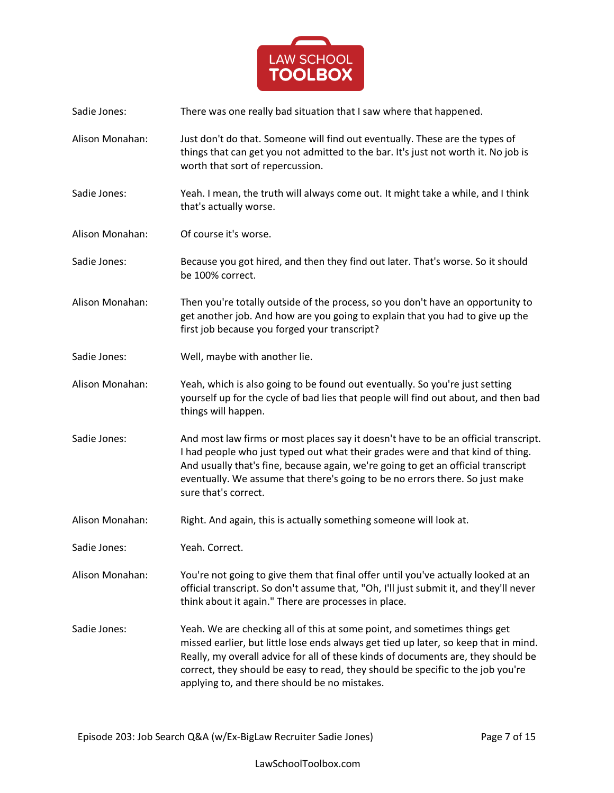

Sadie Jones: There was one really bad situation that I saw where that happened. Alison Monahan: Just don't do that. Someone will find out eventually. These are the types of things that can get you not admitted to the bar. It's just not worth it. No job is worth that sort of repercussion. Sadie Jones: Yeah. I mean, the truth will always come out. It might take a while, and I think that's actually worse. Alison Monahan: Of course it's worse. Sadie Jones: Because you got hired, and then they find out later. That's worse. So it should be 100% correct. Alison Monahan: Then you're totally outside of the process, so you don't have an opportunity to get another job. And how are you going to explain that you had to give up the first job because you forged your transcript? Sadie Jones: Well, maybe with another lie. Alison Monahan: Yeah, which is also going to be found out eventually. So you're just setting yourself up for the cycle of bad lies that people will find out about, and then bad things will happen. Sadie Jones: And most law firms or most places say it doesn't have to be an official transcript. I had people who just typed out what their grades were and that kind of thing. And usually that's fine, because again, we're going to get an official transcript eventually. We assume that there's going to be no errors there. So just make sure that's correct. Alison Monahan: Right. And again, this is actually something someone will look at. Sadie Jones: Yeah. Correct. Alison Monahan: You're not going to give them that final offer until you've actually looked at an official transcript. So don't assume that, "Oh, I'll just submit it, and they'll never think about it again." There are processes in place. Sadie Jones: Yeah. We are checking all of this at some point, and sometimes things get missed earlier, but little lose ends always get tied up later, so keep that in mind. Really, my overall advice for all of these kinds of documents are, they should be correct, they should be easy to read, they should be specific to the job you're applying to, and there should be no mistakes.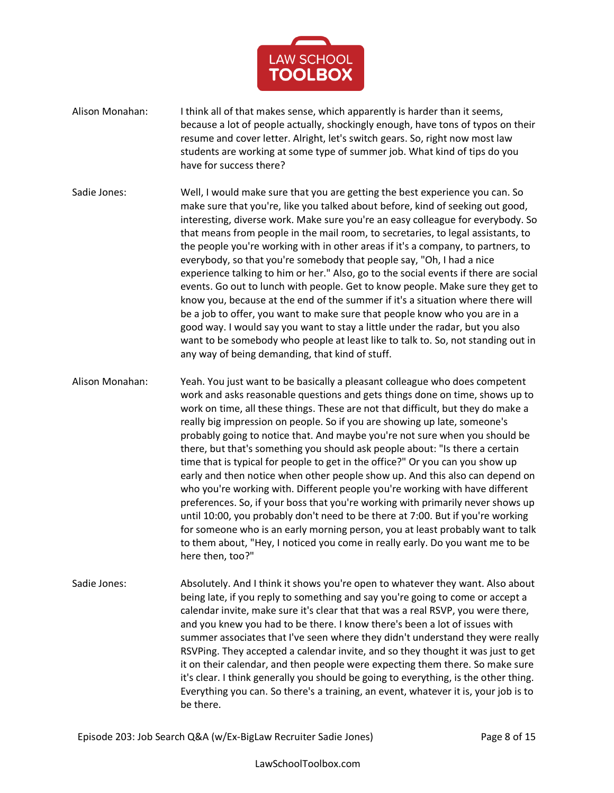

- Alison Monahan: I think all of that makes sense, which apparently is harder than it seems, because a lot of people actually, shockingly enough, have tons of typos on their resume and cover letter. Alright, let's switch gears. So, right now most law students are working at some type of summer job. What kind of tips do you have for success there?
- Sadie Jones: Well, I would make sure that you are getting the best experience you can. So make sure that you're, like you talked about before, kind of seeking out good, interesting, diverse work. Make sure you're an easy colleague for everybody. So that means from people in the mail room, to secretaries, to legal assistants, to the people you're working with in other areas if it's a company, to partners, to everybody, so that you're somebody that people say, "Oh, I had a nice experience talking to him or her." Also, go to the social events if there are social events. Go out to lunch with people. Get to know people. Make sure they get to know you, because at the end of the summer if it's a situation where there will be a job to offer, you want to make sure that people know who you are in a good way. I would say you want to stay a little under the radar, but you also want to be somebody who people at least like to talk to. So, not standing out in any way of being demanding, that kind of stuff.
- Alison Monahan: Yeah. You just want to be basically a pleasant colleague who does competent work and asks reasonable questions and gets things done on time, shows up to work on time, all these things. These are not that difficult, but they do make a really big impression on people. So if you are showing up late, someone's probably going to notice that. And maybe you're not sure when you should be there, but that's something you should ask people about: "Is there a certain time that is typical for people to get in the office?" Or you can you show up early and then notice when other people show up. And this also can depend on who you're working with. Different people you're working with have different preferences. So, if your boss that you're working with primarily never shows up until 10:00, you probably don't need to be there at 7:00. But if you're working for someone who is an early morning person, you at least probably want to talk to them about, "Hey, I noticed you come in really early. Do you want me to be here then, too?"
- Sadie Jones: Absolutely. And I think it shows you're open to whatever they want. Also about being late, if you reply to something and say you're going to come or accept a calendar invite, make sure it's clear that that was a real RSVP, you were there, and you knew you had to be there. I know there's been a lot of issues with summer associates that I've seen where they didn't understand they were really RSVPing. They accepted a calendar invite, and so they thought it was just to get it on their calendar, and then people were expecting them there. So make sure it's clear. I think generally you should be going to everything, is the other thing. Everything you can. So there's a training, an event, whatever it is, your job is to be there.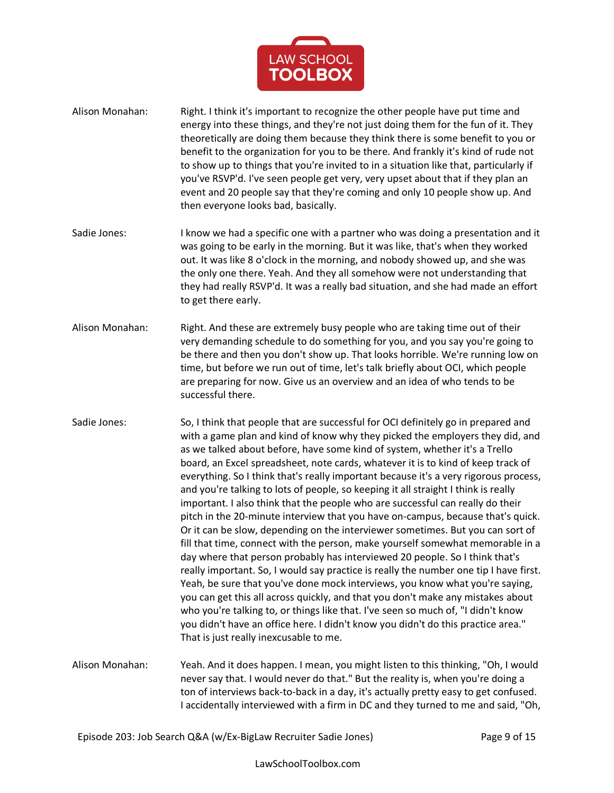

- Alison Monahan: Right. I think it's important to recognize the other people have put time and energy into these things, and they're not just doing them for the fun of it. They theoretically are doing them because they think there is some benefit to you or benefit to the organization for you to be there. And frankly it's kind of rude not to show up to things that you're invited to in a situation like that, particularly if you've RSVP'd. I've seen people get very, very upset about that if they plan an event and 20 people say that they're coming and only 10 people show up. And then everyone looks bad, basically.
- Sadie Jones: I know we had a specific one with a partner who was doing a presentation and it was going to be early in the morning. But it was like, that's when they worked out. It was like 8 o'clock in the morning, and nobody showed up, and she was the only one there. Yeah. And they all somehow were not understanding that they had really RSVP'd. It was a really bad situation, and she had made an effort to get there early.
- Alison Monahan: Right. And these are extremely busy people who are taking time out of their very demanding schedule to do something for you, and you say you're going to be there and then you don't show up. That looks horrible. We're running low on time, but before we run out of time, let's talk briefly about OCI, which people are preparing for now. Give us an overview and an idea of who tends to be successful there.
- Sadie Jones: So, I think that people that are successful for OCI definitely go in prepared and with a game plan and kind of know why they picked the employers they did, and as we talked about before, have some kind of system, whether it's a Trello board, an Excel spreadsheet, note cards, whatever it is to kind of keep track of everything. So I think that's really important because it's a very rigorous process, and you're talking to lots of people, so keeping it all straight I think is really important. I also think that the people who are successful can really do their pitch in the 20-minute interview that you have on-campus, because that's quick. Or it can be slow, depending on the interviewer sometimes. But you can sort of fill that time, connect with the person, make yourself somewhat memorable in a day where that person probably has interviewed 20 people. So I think that's really important. So, I would say practice is really the number one tip I have first. Yeah, be sure that you've done mock interviews, you know what you're saying, you can get this all across quickly, and that you don't make any mistakes about who you're talking to, or things like that. I've seen so much of, "I didn't know you didn't have an office here. I didn't know you didn't do this practice area." That is just really inexcusable to me.
- Alison Monahan: Yeah. And it does happen. I mean, you might listen to this thinking, "Oh, I would never say that. I would never do that." But the reality is, when you're doing a ton of interviews back-to-back in a day, it's actually pretty easy to get confused. I accidentally interviewed with a firm in DC and they turned to me and said, "Oh,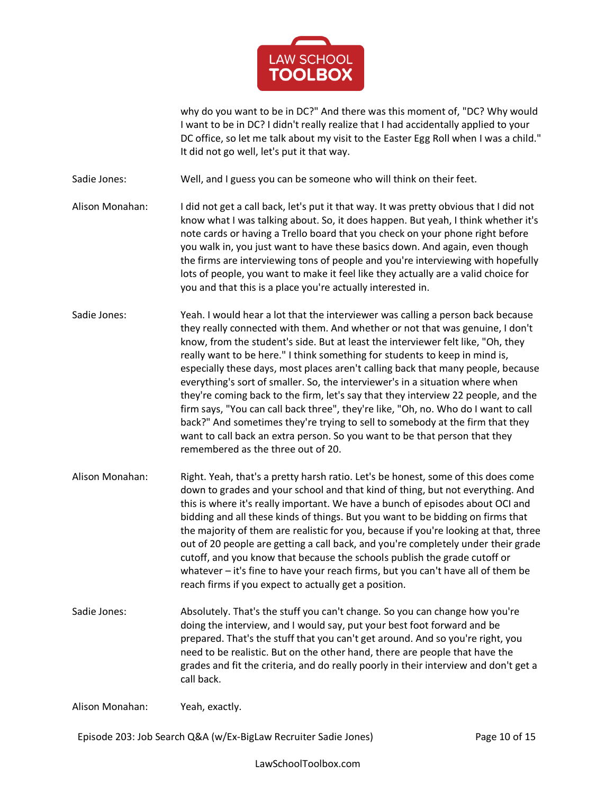

why do you want to be in DC?" And there was this moment of, "DC? Why would I want to be in DC? I didn't really realize that I had accidentally applied to your DC office, so let me talk about my visit to the Easter Egg Roll when I was a child." It did not go well, let's put it that way.

Sadie Jones: Well, and I guess you can be someone who will think on their feet.

- Alison Monahan: I did not get a call back, let's put it that way. It was pretty obvious that I did not know what I was talking about. So, it does happen. But yeah, I think whether it's note cards or having a Trello board that you check on your phone right before you walk in, you just want to have these basics down. And again, even though the firms are interviewing tons of people and you're interviewing with hopefully lots of people, you want to make it feel like they actually are a valid choice for you and that this is a place you're actually interested in.
- Sadie Jones: Yeah. I would hear a lot that the interviewer was calling a person back because they really connected with them. And whether or not that was genuine, I don't know, from the student's side. But at least the interviewer felt like, "Oh, they really want to be here." I think something for students to keep in mind is, especially these days, most places aren't calling back that many people, because everything's sort of smaller. So, the interviewer's in a situation where when they're coming back to the firm, let's say that they interview 22 people, and the firm says, "You can call back three", they're like, "Oh, no. Who do I want to call back?" And sometimes they're trying to sell to somebody at the firm that they want to call back an extra person. So you want to be that person that they remembered as the three out of 20.
- Alison Monahan: Right. Yeah, that's a pretty harsh ratio. Let's be honest, some of this does come down to grades and your school and that kind of thing, but not everything. And this is where it's really important. We have a bunch of episodes about OCI and bidding and all these kinds of things. But you want to be bidding on firms that the majority of them are realistic for you, because if you're looking at that, three out of 20 people are getting a call back, and you're completely under their grade cutoff, and you know that because the schools publish the grade cutoff or whatever – it's fine to have your reach firms, but you can't have all of them be reach firms if you expect to actually get a position.
- Sadie Jones: Absolutely. That's the stuff you can't change. So you can change how you're doing the interview, and I would say, put your best foot forward and be prepared. That's the stuff that you can't get around. And so you're right, you need to be realistic. But on the other hand, there are people that have the grades and fit the criteria, and do really poorly in their interview and don't get a call back.

Alison Monahan: Yeah, exactly.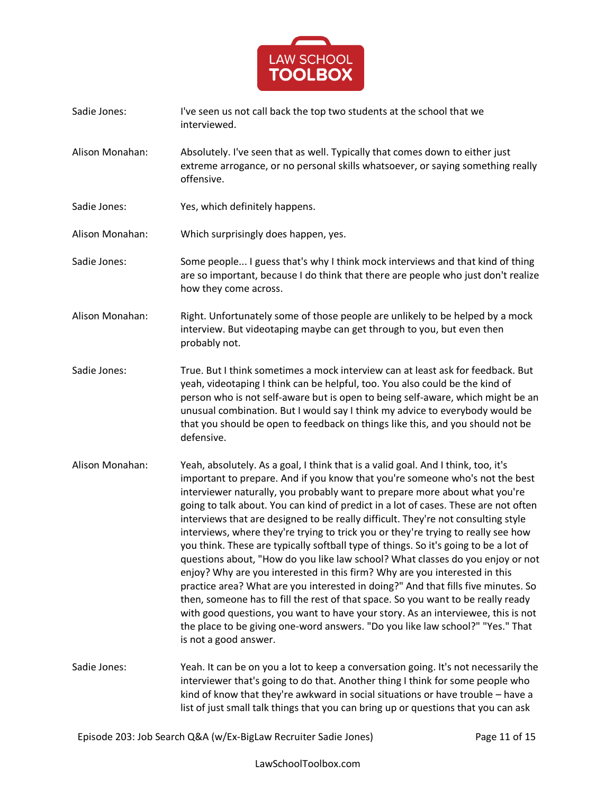

- Sadie Jones: I've seen us not call back the top two students at the school that we interviewed.
- Alison Monahan: Absolutely. I've seen that as well. Typically that comes down to either just extreme arrogance, or no personal skills whatsoever, or saying something really offensive.
- Sadie Jones: Yes, which definitely happens.
- Alison Monahan: Which surprisingly does happen, yes.
- Sadie Jones: Some people... I guess that's why I think mock interviews and that kind of thing are so important, because I do think that there are people who just don't realize how they come across.
- Alison Monahan: Right. Unfortunately some of those people are unlikely to be helped by a mock interview. But videotaping maybe can get through to you, but even then probably not.
- Sadie Jones: True. But I think sometimes a mock interview can at least ask for feedback. But yeah, videotaping I think can be helpful, too. You also could be the kind of person who is not self-aware but is open to being self-aware, which might be an unusual combination. But I would say I think my advice to everybody would be that you should be open to feedback on things like this, and you should not be defensive.
- Alison Monahan: Yeah, absolutely. As a goal, I think that is a valid goal. And I think, too, it's important to prepare. And if you know that you're someone who's not the best interviewer naturally, you probably want to prepare more about what you're going to talk about. You can kind of predict in a lot of cases. These are not often interviews that are designed to be really difficult. They're not consulting style interviews, where they're trying to trick you or they're trying to really see how you think. These are typically softball type of things. So it's going to be a lot of questions about, "How do you like law school? What classes do you enjoy or not enjoy? Why are you interested in this firm? Why are you interested in this practice area? What are you interested in doing?" And that fills five minutes. So then, someone has to fill the rest of that space. So you want to be really ready with good questions, you want to have your story. As an interviewee, this is not the place to be giving one-word answers. "Do you like law school?" "Yes." That is not a good answer.
- Sadie Jones: Yeah. It can be on you a lot to keep a conversation going. It's not necessarily the interviewer that's going to do that. Another thing I think for some people who kind of know that they're awkward in social situations or have trouble – have a list of just small talk things that you can bring up or questions that you can ask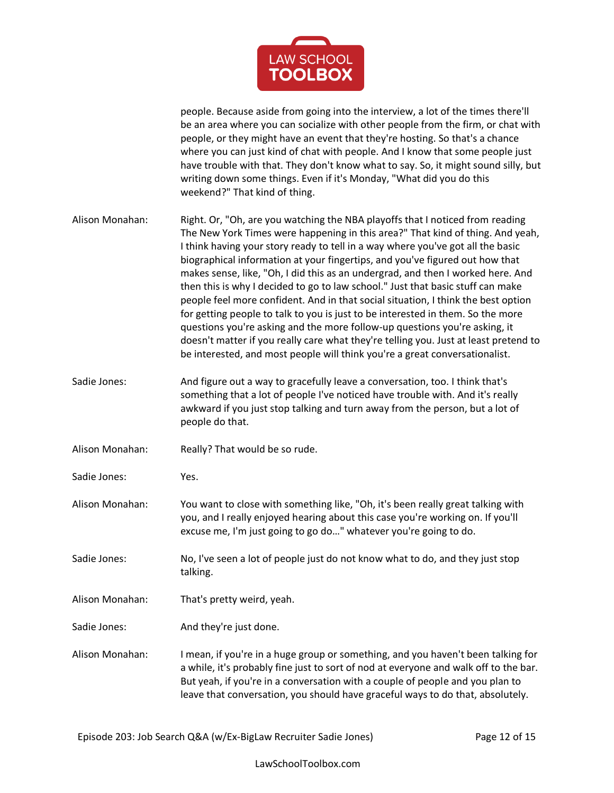

people. Because aside from going into the interview, a lot of the times there'll be an area where you can socialize with other people from the firm, or chat with people, or they might have an event that they're hosting. So that's a chance where you can just kind of chat with people. And I know that some people just have trouble with that. They don't know what to say. So, it might sound silly, but writing down some things. Even if it's Monday, "What did you do this weekend?" That kind of thing.

Alison Monahan: Right. Or, "Oh, are you watching the NBA playoffs that I noticed from reading The New York Times were happening in this area?" That kind of thing. And yeah, I think having your story ready to tell in a way where you've got all the basic biographical information at your fingertips, and you've figured out how that makes sense, like, "Oh, I did this as an undergrad, and then I worked here. And then this is why I decided to go to law school." Just that basic stuff can make people feel more confident. And in that social situation, I think the best option for getting people to talk to you is just to be interested in them. So the more questions you're asking and the more follow-up questions you're asking, it doesn't matter if you really care what they're telling you. Just at least pretend to be interested, and most people will think you're a great conversationalist.

- Sadie Jones: And figure out a way to gracefully leave a conversation, too. I think that's something that a lot of people I've noticed have trouble with. And it's really awkward if you just stop talking and turn away from the person, but a lot of people do that.
- Alison Monahan: Really? That would be so rude.
- Sadie Jones: Yes.
- Alison Monahan: You want to close with something like, "Oh, it's been really great talking with you, and I really enjoyed hearing about this case you're working on. If you'll excuse me, I'm just going to go do…" whatever you're going to do.
- Sadie Jones: No, I've seen a lot of people just do not know what to do, and they just stop talking.
- Alison Monahan: That's pretty weird, yeah.
- Sadie Jones: And they're just done.
- Alison Monahan: I mean, if you're in a huge group or something, and you haven't been talking for a while, it's probably fine just to sort of nod at everyone and walk off to the bar. But yeah, if you're in a conversation with a couple of people and you plan to leave that conversation, you should have graceful ways to do that, absolutely.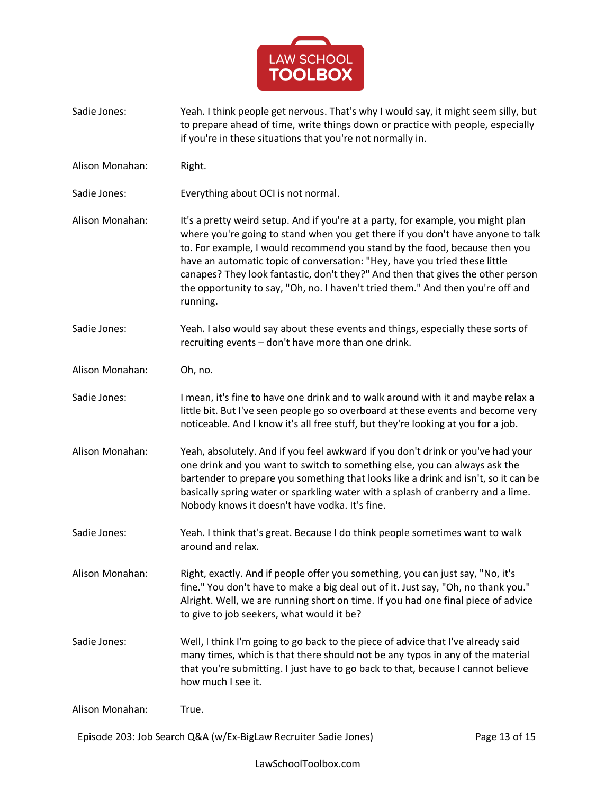

- Sadie Jones: Yeah. I think people get nervous. That's why I would say, it might seem silly, but to prepare ahead of time, write things down or practice with people, especially if you're in these situations that you're not normally in.
- Alison Monahan: Right.
- Sadie Jones: Everything about OCI is not normal.
- Alison Monahan: It's a pretty weird setup. And if you're at a party, for example, you might plan where you're going to stand when you get there if you don't have anyone to talk to. For example, I would recommend you stand by the food, because then you have an automatic topic of conversation: "Hey, have you tried these little canapes? They look fantastic, don't they?" And then that gives the other person the opportunity to say, "Oh, no. I haven't tried them." And then you're off and running.
- Sadie Jones: Yeah. I also would say about these events and things, especially these sorts of recruiting events – don't have more than one drink.
- Alison Monahan: Oh, no.
- Sadie Jones: I mean, it's fine to have one drink and to walk around with it and maybe relax a little bit. But I've seen people go so overboard at these events and become very noticeable. And I know it's all free stuff, but they're looking at you for a job.
- Alison Monahan: Yeah, absolutely. And if you feel awkward if you don't drink or you've had your one drink and you want to switch to something else, you can always ask the bartender to prepare you something that looks like a drink and isn't, so it can be basically spring water or sparkling water with a splash of cranberry and a lime. Nobody knows it doesn't have vodka. It's fine.
- Sadie Jones: Yeah. I think that's great. Because I do think people sometimes want to walk around and relax.
- Alison Monahan: Right, exactly. And if people offer you something, you can just say, "No, it's fine." You don't have to make a big deal out of it. Just say, "Oh, no thank you." Alright. Well, we are running short on time. If you had one final piece of advice to give to job seekers, what would it be?
- Sadie Jones: Well, I think I'm going to go back to the piece of advice that I've already said many times, which is that there should not be any typos in any of the material that you're submitting. I just have to go back to that, because I cannot believe how much I see it.

Alison Monahan: True.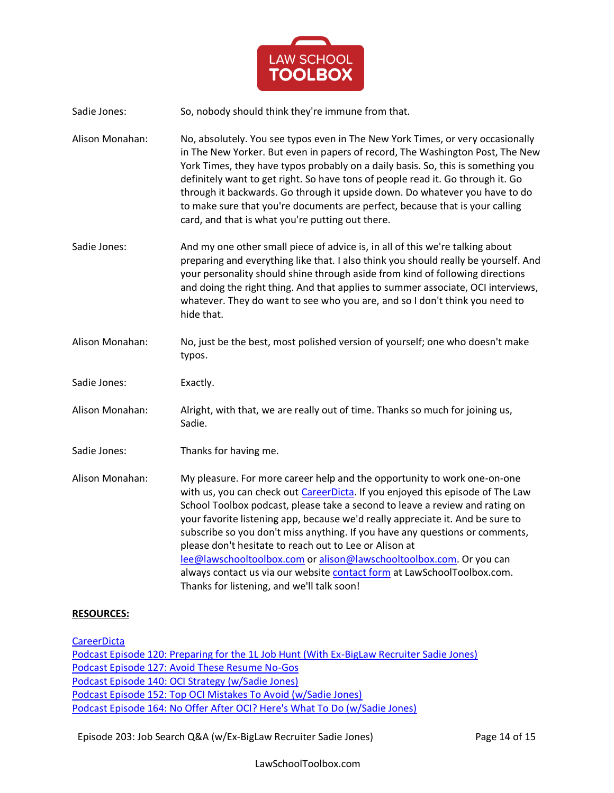

Sadie Jones: So, nobody should think they're immune from that.

Alison Monahan: No, absolutely. You see typos even in The New York Times, or very occasionally in The New Yorker. But even in papers of record, The Washington Post, The New York Times, they have typos probably on a daily basis. So, this is something you definitely want to get right. So have tons of people read it. Go through it. Go through it backwards. Go through it upside down. Do whatever you have to do to make sure that you're documents are perfect, because that is your calling card, and that is what you're putting out there.

Sadie Jones: And my one other small piece of advice is, in all of this we're talking about preparing and everything like that. I also think you should really be yourself. And your personality should shine through aside from kind of following directions and doing the right thing. And that applies to summer associate, OCI interviews, whatever. They do want to see who you are, and so I don't think you need to hide that.

- Alison Monahan: No, just be the best, most polished version of yourself; one who doesn't make typos.
- Sadie Jones: Exactly.
- Alison Monahan: Alright, with that, we are really out of time. Thanks so much for joining us, Sadie.
- Sadie Jones: Thanks for having me.

Alison Monahan: My pleasure. For more career help and the opportunity to work one-on-one with us, you can check ou[t CareerDicta.](https://lawschooltoolbox.com/careerdicta/) If you enjoyed this episode of The Law School Toolbox podcast, please take a second to leave a review and rating on your favorite listening app, because we'd really appreciate it. And be sure to subscribe so you don't miss anything. If you have any questions or comments, please don't hesitate to reach out to Lee or Alison at [lee@lawschooltoolbox.com](mailto:lee@lawschooltoolbox.com) o[r alison@lawschooltoolbox.com.](mailto:alison@lawschooltoolbox.com) Or you can always contact us via our website [contact form](https://lawschooltoolbox.com/contact/) at LawSchoolToolbox.com. Thanks for listening, and we'll talk soon!

## **RESOURCES:**

**[CareerDicta](https://lawschooltoolbox.com/careerdicta/)** 

[Podcast Episode 120: Preparing for the 1L Job Hunt \(With Ex-BigLaw Recruiter Sadie Jones\)](https://lawschooltoolbox.com/podcast-episode-120-preparing-1l-job-hunt-ex-biglaw-recruiter-sadie-jones/) [Podcast Episode 127: Avoid These Resume No-Gos](https://lawschooltoolbox.com/podcast-episode-127-avoid-resume-no-gos/) [Podcast Episode 140: OCI Strategy \(w/Sadie Jones\)](https://lawschooltoolbox.com/episode-140-oci-strategy-w-sadie-jones/) [Podcast Episode 152: Top OCI Mistakes To Avoid \(w/Sadie Jones\)](https://lawschooltoolbox.com/podcast-episode-152-top-oci-mistakes-to-avoid-w-sadie-jones/) [Podcast Episode 164: No Offer After OCI? Here's What To Do \(w/Sadie Jones\)](https://lawschooltoolbox.com/podcast-episode-164-no-offer-after-oci-heres-what-to-do-w-sadie-jones/)